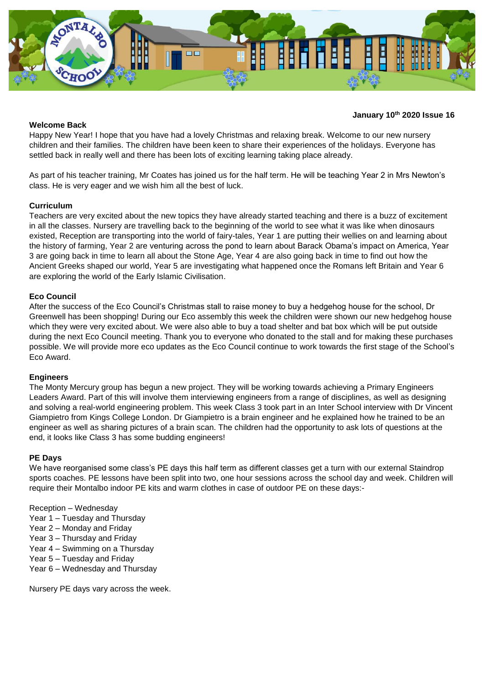

### **Welcome Back**

### **January 10 th 2020 Issue 16**

Happy New Year! I hope that you have had a lovely Christmas and relaxing break. Welcome to our new nursery children and their families. The children have been keen to share their experiences of the holidays. Everyone has settled back in really well and there has been lots of exciting learning taking place already.

As part of his teacher training, Mr Coates has joined us for the half term. He will be teaching Year 2 in Mrs Newton's class. He is very eager and we wish him all the best of luck.

## **Curriculum**

Teachers are very excited about the new topics they have already started teaching and there is a buzz of excitement in all the classes. Nursery are travelling back to the beginning of the world to see what it was like when dinosaurs existed, Reception are transporting into the world of fairy-tales, Year 1 are putting their wellies on and learning about the history of farming, Year 2 are venturing across the pond to learn about Barack Obama's impact on America, Year 3 are going back in time to learn all about the Stone Age, Year 4 are also going back in time to find out how the Ancient Greeks shaped our world, Year 5 are investigating what happened once the Romans left Britain and Year 6 are exploring the world of the Early Islamic Civilisation.

### **Eco Council**

After the success of the Eco Council's Christmas stall to raise money to buy a hedgehog house for the school, Dr Greenwell has been shopping! During our Eco assembly this week the children were shown our new hedgehog house which they were very excited about. We were also able to buy a toad shelter and bat box which will be put outside during the next Eco Council meeting. Thank you to everyone who donated to the stall and for making these purchases possible. We will provide more eco updates as the Eco Council continue to work towards the first stage of the School's Eco Award.

#### **Engineers**

The Monty Mercury group has begun a new project. They will be working towards achieving a Primary Engineers Leaders Award. Part of this will involve them interviewing engineers from a range of disciplines, as well as designing and solving a real-world engineering problem. This week Class 3 took part in an Inter School interview with Dr Vincent Giampietro from Kings College London. Dr Giampietro is a brain engineer and he explained how he trained to be an engineer as well as sharing pictures of a brain scan. The children had the opportunity to ask lots of questions at the end, it looks like Class 3 has some budding engineers!

#### **PE Days**

We have reorganised some class's PE days this half term as different classes get a turn with our external Staindrop sports coaches. PE lessons have been split into two, one hour sessions across the school day and week. Children will require their Montalbo indoor PE kits and warm clothes in case of outdoor PE on these days:-

#### Reception – Wednesday

- Year 1 Tuesday and Thursday
- Year 2 Monday and Friday
- Year 3 Thursday and Friday
- Year 4 Swimming on a Thursday
- Year 5 Tuesday and Friday
- Year 6 Wednesday and Thursday

Nursery PE days vary across the week.